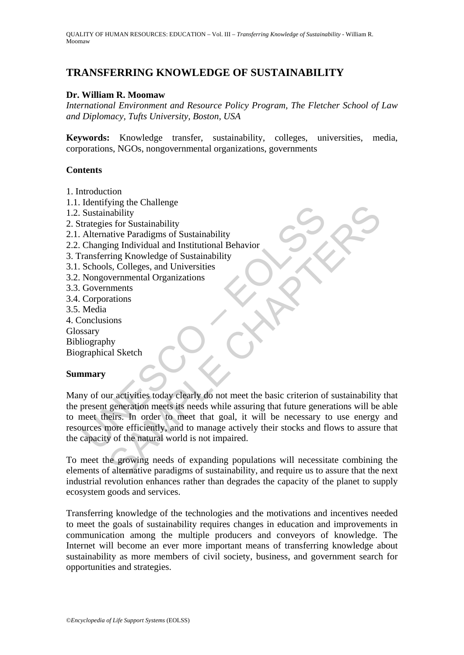# **TRANSFERRING KNOWLEDGE OF SUSTAINABILITY**

#### **Dr. William R. Moomaw**

*International Environment and Resource Policy Program, The Fletcher School of Law and Diplomacy, Tufts University, Boston, USA* 

**Keywords:** Knowledge transfer, sustainability, colleges, universities, media, corporations, NGOs, nongovernmental organizations, governments

#### **Contents**

- 1. Introduction
- 1.1. Identifying the Challenge
- 1.2. Sustainability
- 2. Strategies for Sustainability
- 2.1. Alternative Paradigms of Sustainability
- 2.2. Changing Individual and Institutional Behavior
- 3. Transferring Knowledge of Sustainability
- 3.1. Schools, Colleges, and Universities
- 3.2. Nongovernmental Organizations
- 3.3. Governments
- 3.4. Corporations
- 3.5. Media
- 4. Conclusions
- Glossary
- Bibliography
- Biographical Sketch

#### **Summary**

Sustainability<br>
Sustainability<br>
Alternative Paradigms of Sustainability<br>
Alternative Paradigms of Sustainability<br>
Changing Individual and Institutional Behavior<br>
Schools, Colleges, and Universities<br>
Schools, Colleges, and Fragme Chancelage<br>
Sa for Sustainability<br>
sa for Sustainability<br>
sa for Sustainability<br>
many Individual and Institutional Behavior<br>
ring Knowledge of Sustainability<br>
sis, Colleges, and Universities<br>
vermmental Organization Many of our activities today clearly do not meet the basic criterion of sustainability that the present generation meets its needs while assuring that future generations will be able to meet theirs. In order to meet that goal, it will be necessary to use energy and resources more efficiently, and to manage actively their stocks and flows to assure that the capacity of the natural world is not impaired.

To meet the growing needs of expanding populations will necessitate combining the elements of alternative paradigms of sustainability, and require us to assure that the next industrial revolution enhances rather than degrades the capacity of the planet to supply ecosystem goods and services.

Transferring knowledge of the technologies and the motivations and incentives needed to meet the goals of sustainability requires changes in education and improvements in communication among the multiple producers and conveyors of knowledge. The Internet will become an ever more important means of transferring knowledge about sustainability as more members of civil society, business, and government search for opportunities and strategies.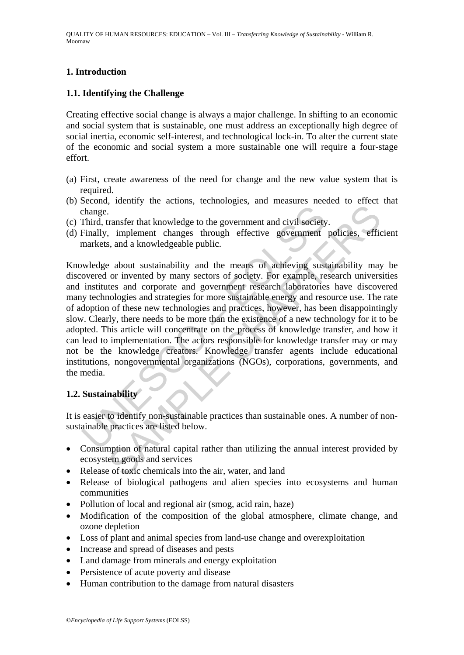## **1. Introduction**

## **1.1. Identifying the Challenge**

Creating effective social change is always a major challenge. In shifting to an economic and social system that is sustainable, one must address an exceptionally high degree of social inertia, economic self-interest, and technological lock-in. To alter the current state of the economic and social system a more sustainable one will require a four-stage effort.

- (a) First, create awareness of the need for change and the new value system that is required.
- (b) Second, identify the actions, technologies, and measures needed to effect that change.
- (c) Third, transfer that knowledge to the government and civil society.
- (d) Finally, implement changes through effective government policies, efficient markets, and a knowledgeable public.

change.<br>Third, transfer that knowledge to the government and civil society<br>Finally, implement changes through effective government<br>markets, and a knowledgeable public.<br>Weledge about sustainability and the means of achievin France of the movement and civil society.<br>
Transfer that knowledge to the government and civil society.<br>
Implement changes through effective government policies, effice<br>
about sustainability and the means of achieving sust Knowledge about sustainability and the means of achieving sustainability may be discovered or invented by many sectors of society. For example, research universities and institutes and corporate and government research laboratories have discovered many technologies and strategies for more sustainable energy and resource use. The rate of adoption of these new technologies and practices, however, has been disappointingly slow. Clearly, there needs to be more than the existence of a new technology for it to be adopted. This article will concentrate on the process of knowledge transfer, and how it can lead to implementation. The actors responsible for knowledge transfer may or may not be the knowledge creators. Knowledge transfer agents include educational institutions, nongovernmental organizations (NGOs), corporations, governments, and the media.

## **1.2. Sustainability**

It is easier to identify non-sustainable practices than sustainable ones. A number of nonsustainable practices are listed below.

- Consumption of natural capital rather than utilizing the annual interest provided by ecosystem goods and services
- Release of toxic chemicals into the air, water, and land
- Release of biological pathogens and alien species into ecosystems and human communities
- Pollution of local and regional air (smog, acid rain, haze)
- Modification of the composition of the global atmosphere, climate change, and ozone depletion
- Loss of plant and animal species from land-use change and overexploitation
- Increase and spread of diseases and pests
- Land damage from minerals and energy exploitation
- Persistence of acute poverty and disease
- Human contribution to the damage from natural disasters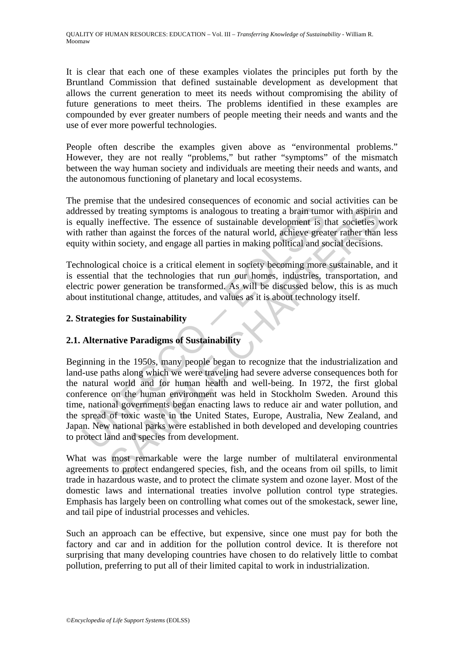It is clear that each one of these examples violates the principles put forth by the Bruntland Commission that defined sustainable development as development that allows the current generation to meet its needs without compromising the ability of future generations to meet theirs. The problems identified in these examples are compounded by ever greater numbers of people meeting their needs and wants and the use of ever more powerful technologies.

People often describe the examples given above as "environmental problems." However, they are not really "problems," but rather "symptoms" of the mismatch between the way human society and individuals are meeting their needs and wants, and the autonomous functioning of planetary and local ecosystems.

The premise that the undesired consequences of economic and social activities can be addressed by treating symptoms is analogous to treating a brain tumor with aspirin and is equally ineffective. The essence of sustainable development is that societies work with rather than against the forces of the natural world, achieve greater rather than less equity within society, and engage all parties in making political and social decisions.

Technological choice is a critical element in society becoming more sustainable, and it is essential that the technologies that run our homes, industries, transportation, and electric power generation be transformed. As will be discussed below, this is as much about institutional change, attitudes, and values as it is about technology itself.

## **2. Strategies for Sustainability**

# **2.1. Alternative Paradigms of Sustainability**

ressed by treating symptoms is analogous to treating a brain tum<br>qually ineffective. The essence of sustainable development is t<br>rather than against the forces of the natural world, achieve grea<br>tity within society, and en by treating symptoms is analogous to treating a brain tumor with aspirint ineffective. The essence of sustainable development is that societies whan against the forces of the natural world, achieve greater rather than in s Beginning in the 1950s, many people began to recognize that the industrialization and land-use paths along which we were traveling had severe adverse consequences both for the natural world and for human health and well-being. In 1972, the first global conference on the human environment was held in Stockholm Sweden. Around this time, national governments began enacting laws to reduce air and water pollution, and the spread of toxic waste in the United States, Europe, Australia, New Zealand, and Japan. New national parks were established in both developed and developing countries to protect land and species from development.

What was most remarkable were the large number of multilateral environmental agreements to protect endangered species, fish, and the oceans from oil spills, to limit trade in hazardous waste, and to protect the climate system and ozone layer. Most of the domestic laws and international treaties involve pollution control type strategies. Emphasis has largely been on controlling what comes out of the smokestack, sewer line, and tail pipe of industrial processes and vehicles.

Such an approach can be effective, but expensive, since one must pay for both the factory and car and in addition for the pollution control device. It is therefore not surprising that many developing countries have chosen to do relatively little to combat pollution, preferring to put all of their limited capital to work in industrialization.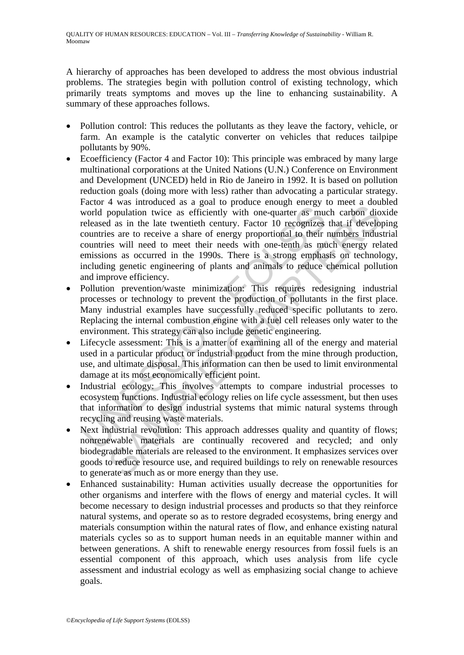A hierarchy of approaches has been developed to address the most obvious industrial problems. The strategies begin with pollution control of existing technology, which primarily treats symptoms and moves up the line to enhancing sustainability. A summary of these approaches follows.

- Pollution control: This reduces the pollutants as they leave the factory, vehicle, or farm. An example is the catalytic converter on vehicles that reduces tailpipe pollutants by 90%.
- world population twice as efficiently with one-quarter as must<br>very population twice as efficiently with one-quarter as mucreleased as in the late twentieth century. Factor 10 recognizes<br>countries will need to meet their n The mass increased as a gain of photate change of the methom diploparation twice as efficiently with one-quarter as much carbon dio d as in the late twentieth century. Factor 10 recognizes that if develops are to receive a • Ecoefficiency (Factor 4 and Factor 10): This principle was embraced by many large multinational corporations at the United Nations (U.N.) Conference on Environment and Development (UNCED) held in Rio de Janeiro in 1992. It is based on pollution reduction goals (doing more with less) rather than advocating a particular strategy. Factor 4 was introduced as a goal to produce enough energy to meet a doubled world population twice as efficiently with one-quarter as much carbon dioxide released as in the late twentieth century. Factor 10 recognizes that if developing countries are to receive a share of energy proportional to their numbers industrial countries will need to meet their needs with one-tenth as much energy related emissions as occurred in the 1990s. There is a strong emphasis on technology, including genetic engineering of plants and animals to reduce chemical pollution and improve efficiency.
- Pollution prevention/waste minimization: This requires redesigning industrial processes or technology to prevent the production of pollutants in the first place. Many industrial examples have successfully reduced specific pollutants to zero. Replacing the internal combustion engine with a fuel cell releases only water to the environment. This strategy can also include genetic engineering.
- Lifecycle assessment: This is a matter of examining all of the energy and material used in a particular product or industrial product from the mine through production, use, and ultimate disposal. This information can then be used to limit environmental damage at its most economically efficient point.
- Industrial ecology: This involves attempts to compare industrial processes to ecosystem functions. Industrial ecology relies on life cycle assessment, but then uses that information to design industrial systems that mimic natural systems through recycling and reusing waste materials.
- Next industrial revolution: This approach addresses quality and quantity of flows: nonrenewable materials are continually recovered and recycled; and only biodegradable materials are released to the environment. It emphasizes services over goods to reduce resource use, and required buildings to rely on renewable resources to generate as much as or more energy than they use.
- Enhanced sustainability: Human activities usually decrease the opportunities for other organisms and interfere with the flows of energy and material cycles. It will become necessary to design industrial processes and products so that they reinforce natural systems, and operate so as to restore degraded ecosystems, bring energy and materials consumption within the natural rates of flow, and enhance existing natural materials cycles so as to support human needs in an equitable manner within and between generations. A shift to renewable energy resources from fossil fuels is an essential component of this approach, which uses analysis from life cycle assessment and industrial ecology as well as emphasizing social change to achieve goals.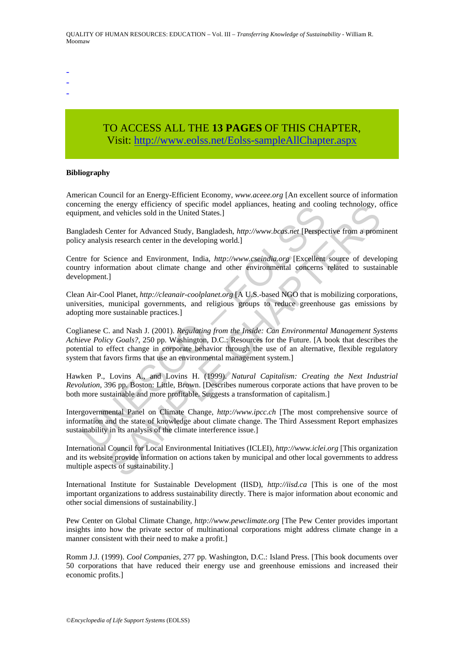- -
- -
- -

# TO ACCESS ALL THE **13 PAGES** OF THIS CHAPTER, Visi[t: http://www.eolss.net/Eolss-sampleAllChapter.aspx](https://www.eolss.net/ebooklib/sc_cart.aspx?File=E1-12-05-06)

#### **Bibliography**

American Council for an Energy-Efficient Economy, *www.aceee.org* [An excellent source of information concerning the energy efficiency of specific model appliances, heating and cooling technology, office equipment, and vehicles sold in the United States.]

Bangladesh Center for Advanced Study, Bangladesh, *http://www.bcas.net* [Perspective from a prominent policy analysis research center in the developing world.]

Centre for Science and Environment, India, *http://www.cseindia.org* [Excellent source of developing country information about climate change and other environmental concerns related to sustainable development.]

Clean Air-Cool Planet, *http://cleanair-coolplanet.org* [A U.S.-based NGO that is mobilizing corporations, universities, municipal governments, and religious groups to reduce greenhouse gas emissions by adopting more sustainable practices.]

ening the energy entrelative of specific model appractic moment, and vehicles sold in the United States.]<br>
Dependence and Environment, India, *http://www.bcgs.net* [Perspecifical places]<br>
gladesh Center for Advanced Study, is energy officiency of specific model applances, neating and cooling technology, conductions and colonical contract model and the United States.]<br>
Center for Advanced Study, Bangladesh, *http://www.bcas.net* [Perspective Coglianese C. and Nash J. (2001). *Regulating from the Inside: Can Environmental Management Systems Achieve Policy Goals?*, 250 pp. Washington, D.C.: Resources for the Future. [A book that describes the potential to effect change in corporate behavior through the use of an alternative, flexible regulatory system that favors firms that use an environmental management system.]

Hawken P., Lovins A., and Lovins H. (1999). *Natural Capitalism: Creating the Next Industrial Revolution*, 396 pp. Boston: Little, Brown. [Describes numerous corporate actions that have proven to be both more sustainable and more profitable. Suggests a transformation of capitalism.]

Intergovernmental Panel on Climate Change, *http://www.ipcc.ch* [The most comprehensive source of information and the state of knowledge about climate change. The Third Assessment Report emphasizes sustainability in its analysis of the climate interference issue.]

International Council for Local Environmental Initiatives (ICLEI), *http://www.iclei.org* [This organization and its website provide information on actions taken by municipal and other local governments to address multiple aspects of sustainability.]

International Institute for Sustainable Development (IISD), *http://iisd.ca* [This is one of the most important organizations to address sustainability directly. There is major information about economic and other social dimensions of sustainability.]

Pew Center on Global Climate Change, *http://www.pewclimate.org* [The Pew Center provides important insights into how the private sector of multinational corporations might address climate change in a manner consistent with their need to make a profit.]

Romm J.J. (1999). *Cool Companies*, 277 pp. Washington, D.C.: Island Press. [This book documents over 50 corporations that have reduced their energy use and greenhouse emissions and increased their economic profits.]